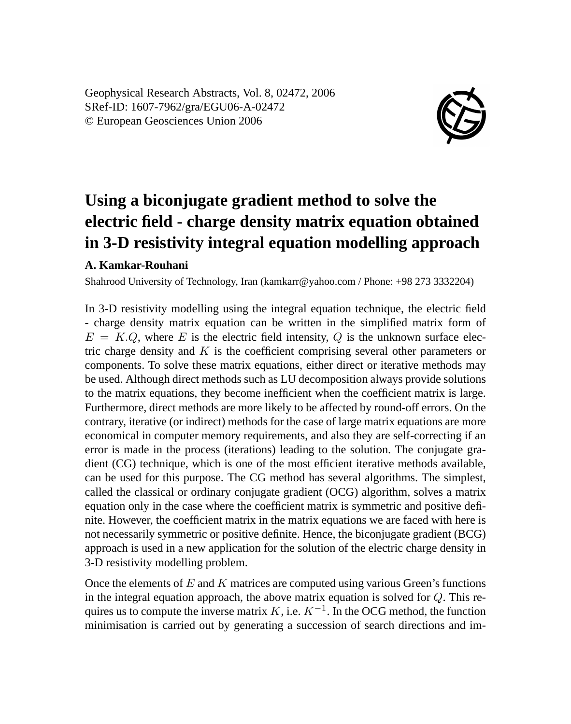Geophysical Research Abstracts, Vol. 8, 02472, 2006 SRef-ID: 1607-7962/gra/EGU06-A-02472 © European Geosciences Union 2006



## **Using a biconjugate gradient method to solve the electric field - charge density matrix equation obtained in 3-D resistivity integral equation modelling approach**

## **A. Kamkar-Rouhani**

Shahrood University of Technology, Iran (kamkarr@yahoo.com / Phone: +98 273 3332204)

In 3-D resistivity modelling using the integral equation technique, the electric field - charge density matrix equation can be written in the simplified matrix form of  $E = K.Q$ , where E is the electric field intensity, Q is the unknown surface electric charge density and  $K$  is the coefficient comprising several other parameters or components. To solve these matrix equations, either direct or iterative methods may be used. Although direct methods such as LU decomposition always provide solutions to the matrix equations, they become inefficient when the coefficient matrix is large. Furthermore, direct methods are more likely to be affected by round-off errors. On the contrary, iterative (or indirect) methods for the case of large matrix equations are more economical in computer memory requirements, and also they are self-correcting if an error is made in the process (iterations) leading to the solution. The conjugate gradient (CG) technique, which is one of the most efficient iterative methods available, can be used for this purpose. The CG method has several algorithms. The simplest, called the classical or ordinary conjugate gradient (OCG) algorithm, solves a matrix equation only in the case where the coefficient matrix is symmetric and positive definite. However, the coefficient matrix in the matrix equations we are faced with here is not necessarily symmetric or positive definite. Hence, the biconjugate gradient (BCG) approach is used in a new application for the solution of the electric charge density in 3-D resistivity modelling problem.

Once the elements of  $E$  and  $K$  matrices are computed using various Green's functions in the integral equation approach, the above matrix equation is solved for  $Q$ . This requires us to compute the inverse matrix K, i.e.  $K^{-1}$ . In the OCG method, the function minimisation is carried out by generating a succession of search directions and im